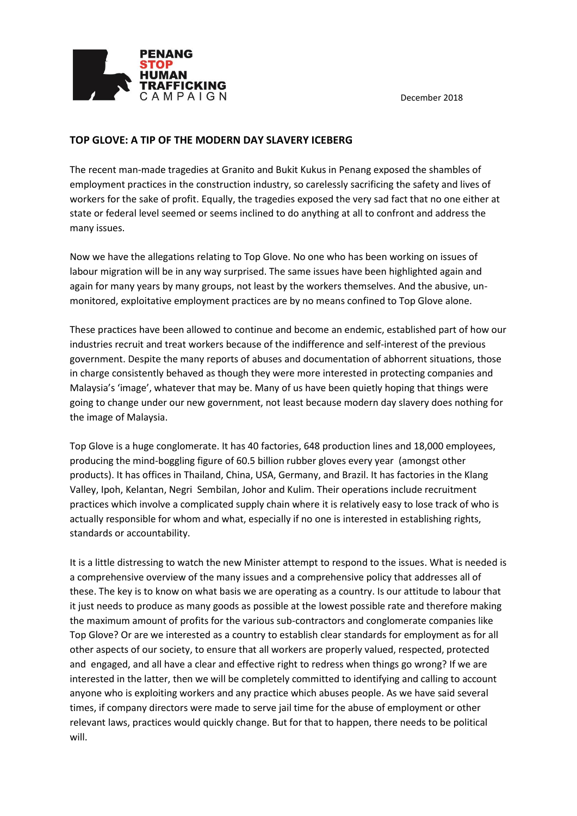December 2018



## **TOP GLOVE: A TIP OF THE MODERN DAY SLAVERY ICEBERG**

The recent man-made tragedies at Granito and Bukit Kukus in Penang exposed the shambles of employment practices in the construction industry, so carelessly sacrificing the safety and lives of workers for the sake of profit. Equally, the tragedies exposed the very sad fact that no one either at state or federal level seemed or seems inclined to do anything at all to confront and address the many issues.

Now we have the allegations relating to Top Glove. No one who has been working on issues of labour migration will be in any way surprised. The same issues have been highlighted again and again for many years by many groups, not least by the workers themselves. And the abusive, unmonitored, exploitative employment practices are by no means confined to Top Glove alone.

These practices have been allowed to continue and become an endemic, established part of how our industries recruit and treat workers because of the indifference and self-interest of the previous government. Despite the many reports of abuses and documentation of abhorrent situations, those in charge consistently behaved as though they were more interested in protecting companies and Malaysia's 'image', whatever that may be. Many of us have been quietly hoping that things were going to change under our new government, not least because modern day slavery does nothing for the image of Malaysia.

Top Glove is a huge conglomerate. It has 40 factories, 648 production lines and 18,000 employees, producing the mind-boggling figure of 60.5 billion rubber gloves every year (amongst other products). It has offices in Thailand, China, USA, Germany, and Brazil. It has factories in the Klang Valley, Ipoh, Kelantan, Negri Sembilan, Johor and Kulim. Their operations include recruitment practices which involve a complicated supply chain where it is relatively easy to lose track of who is actually responsible for whom and what, especially if no one is interested in establishing rights, standards or accountability.

It is a little distressing to watch the new Minister attempt to respond to the issues. What is needed is a comprehensive overview of the many issues and a comprehensive policy that addresses all of these. The key is to know on what basis we are operating as a country. Is our attitude to labour that it just needs to produce as many goods as possible at the lowest possible rate and therefore making the maximum amount of profits for the various sub-contractors and conglomerate companies like Top Glove? Or are we interested as a country to establish clear standards for employment as for all other aspects of our society, to ensure that all workers are properly valued, respected, protected and engaged, and all have a clear and effective right to redress when things go wrong? If we are interested in the latter, then we will be completely committed to identifying and calling to account anyone who is exploiting workers and any practice which abuses people. As we have said several times, if company directors were made to serve jail time for the abuse of employment or other relevant laws, practices would quickly change. But for that to happen, there needs to be political will.